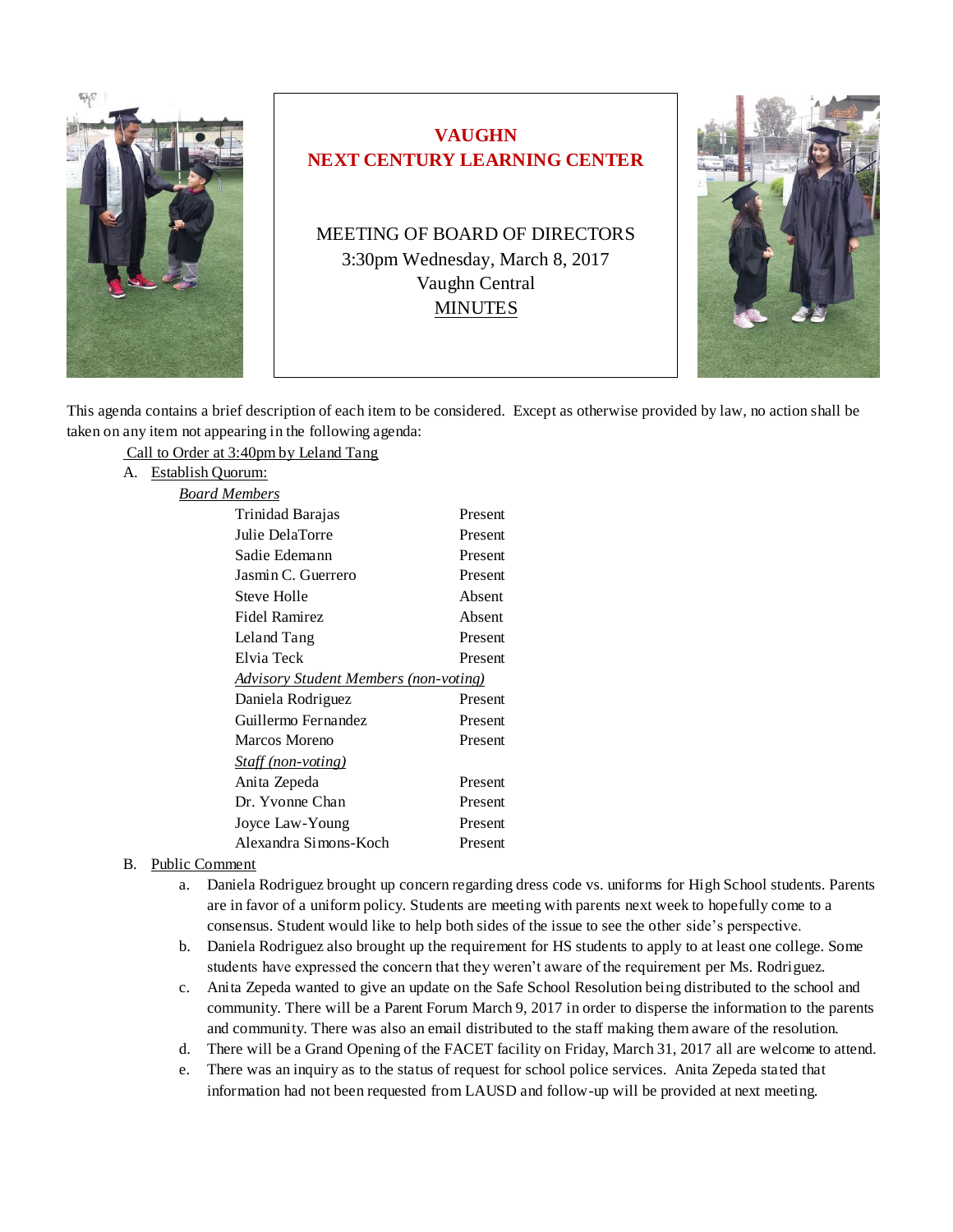

# **VAUGHN NEXT CENTURY LEARNING CENTER**

MEETING OF BOARD OF DIRECTORS 3:30pm Wednesday, March 8, 2017 Vaughn Central MINUTES



This agenda contains a brief description of each item to be considered. Except as otherwise provided by law, no action shall be taken on any item not appearing in the following agenda:

Call to Order at 3:40pm by Leland Tang

A. Establish Quorum:

| <b>Board Members</b>                          |         |
|-----------------------------------------------|---------|
| Trinidad Barajas                              | Present |
| Julie DelaTorre                               | Present |
| Sadie Edemann                                 | Present |
| Jasmin C. Guerrero                            | Present |
| Steve Holle                                   | Absent  |
| Fidel Ramirez                                 | Absent  |
| Leland Tang                                   | Present |
| Elvia Teck                                    | Present |
| <u> Advisory Student Members (non-voting)</u> |         |
| Daniela Rodriguez                             | Present |
| Guillermo Fernandez                           | Present |
| Marcos Moreno                                 | Present |
| <b>Staff</b> (non-voting)                     |         |
| Anita Zepeda                                  | Present |
| Dr. Yvonne Chan                               | Present |
| Joyce Law-Young                               | Present |
| Alexandra Simons-Koch                         | Present |

#### B. Public Comment

- a. Daniela Rodriguez brought up concern regarding dress code vs. uniforms for High School students. Parents are in favor of a uniform policy. Students are meeting with parents next week to hopefully come to a consensus. Student would like to help both sides of the issue to see the other side's perspective.
- b. Daniela Rodriguez also brought up the requirement for HS students to apply to at least one college. Some students have expressed the concern that they weren't aware of the requirement per Ms. Rodriguez.
- c. Anita Zepeda wanted to give an update on the Safe School Resolution being distributed to the school and community. There will be a Parent Forum March 9, 2017 in order to disperse the information to the parents and community. There was also an email distributed to the staff making them aware of the resolution.
- d. There will be a Grand Opening of the FACET facility on Friday, March 31, 2017 all are welcome to attend.
- e. There was an inquiry as to the status of request for school police services. Anita Zepeda stated that information had not been requested from LAUSD and follow-up will be provided at next meeting.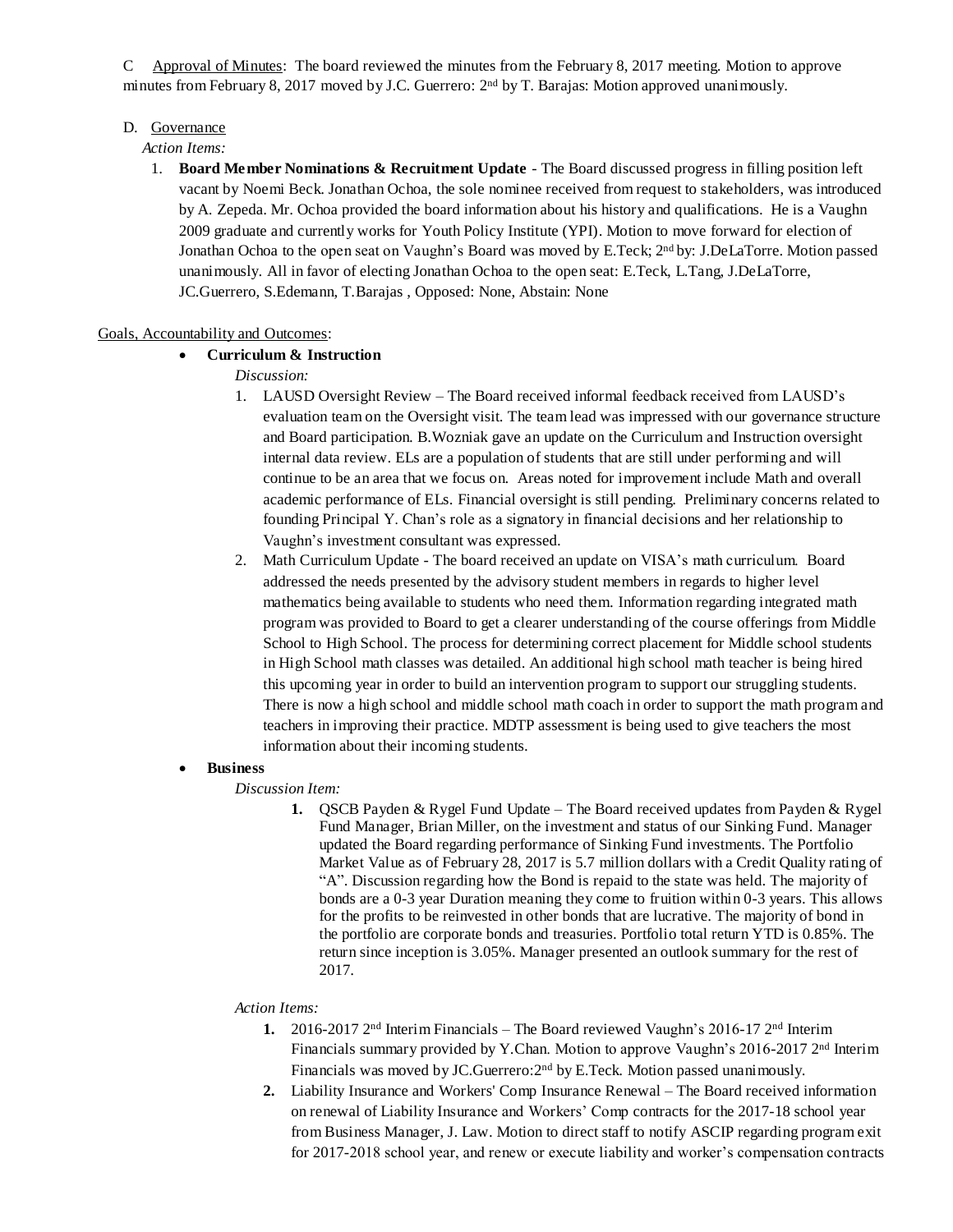C Approval of Minutes: The board reviewed the minutes from the February 8, 2017 meeting. Motion to approve minutes from February 8, 2017 moved by J.C. Guerrero: 2nd by T. Barajas: Motion approved unanimously.

## D. Governance

#### *Action Items:*

1. **Board Member Nominations & Recruitment Update** - The Board discussed progress in filling position left vacant by Noemi Beck. Jonathan Ochoa, the sole nominee received from request to stakeholders, was introduced by A. Zepeda. Mr. Ochoa provided the board information about his history and qualifications. He is a Vaughn 2009 graduate and currently works for Youth Policy Institute (YPI). Motion to move forward for election of Jonathan Ochoa to the open seat on Vaughn's Board was moved by E.Teck; 2<sup>nd</sup> by: J.DeLaTorre. Motion passed unanimously. All in favor of electing Jonathan Ochoa to the open seat: E.Teck, L.Tang, J.DeLaTorre, JC.Guerrero, S.Edemann, T.Barajas , Opposed: None, Abstain: None

## Goals, Accountability and Outcomes:

## • **Curriculum & Instruction**

- *Discussion:*
- 1. LAUSD Oversight Review The Board received informal feedback received from LAUSD's evaluation team on the Oversight visit. The team lead was impressed with our governance structure and Board participation. B.Wozniak gave an update on the Curriculum and Instruction oversight internal data review. ELs are a population of students that are still under performing and will continue to be an area that we focus on. Areas noted for improvement include Math and overall academic performance of ELs. Financial oversight is still pending. Preliminary concerns related to founding Principal Y. Chan's role as a signatory in financial decisions and her relationship to Vaughn's investment consultant was expressed.
- 2. Math Curriculum Update *-* The board received an update on VISA's math curriculum. Board addressed the needs presented by the advisory student members in regards to higher level mathematics being available to students who need them. Information regarding integrated math program was provided to Board to get a clearer understanding of the course offerings from Middle School to High School. The process for determining correct placement for Middle school students in High School math classes was detailed. An additional high school math teacher is being hired this upcoming year in order to build an intervention program to support our struggling students. There is now a high school and middle school math coach in order to support the math program and teachers in improving their practice. MDTP assessment is being used to give teachers the most information about their incoming students.

#### • **Business**

#### *Discussion Item:*

**1.** QSCB Payden & Rygel Fund Update – The Board received updates from Payden & Rygel Fund Manager, Brian Miller, on the investment and status of our Sinking Fund. Manager updated the Board regarding performance of Sinking Fund investments. The Portfolio Market Value as of February 28, 2017 is 5.7 million dollars with a Credit Quality rating of "A". Discussion regarding how the Bond is repaid to the state was held. The majority of bonds are a 0-3 year Duration meaning they come to fruition within 0-3 years. This allows for the profits to be reinvested in other bonds that are lucrative. The majority of bond in the portfolio are corporate bonds and treasuries. Portfolio total return YTD is 0.85%. The return since inception is 3.05%. Manager presented an outlook summary for the rest of 2017.

#### *Action Items:*

- **1.** 2016-2017 2nd Interim Financials The Board reviewed Vaughn's 2016-17 2nd Interim Financials summary provided by Y.Chan. Motion to approve Vaughn's 2016-2017 2nd Interim Financials was moved by JC.Guerrero:2nd by E.Teck. Motion passed unanimously.
- **2.** Liability Insurance and Workers' Comp Insurance Renewal The Board received information on renewal of Liability Insurance and Workers' Comp contracts for the 2017-18 school year from Business Manager, J. Law. Motion to direct staff to notify ASCIP regarding program exit for 2017-2018 school year, and renew or execute liability and worker's compensation contracts